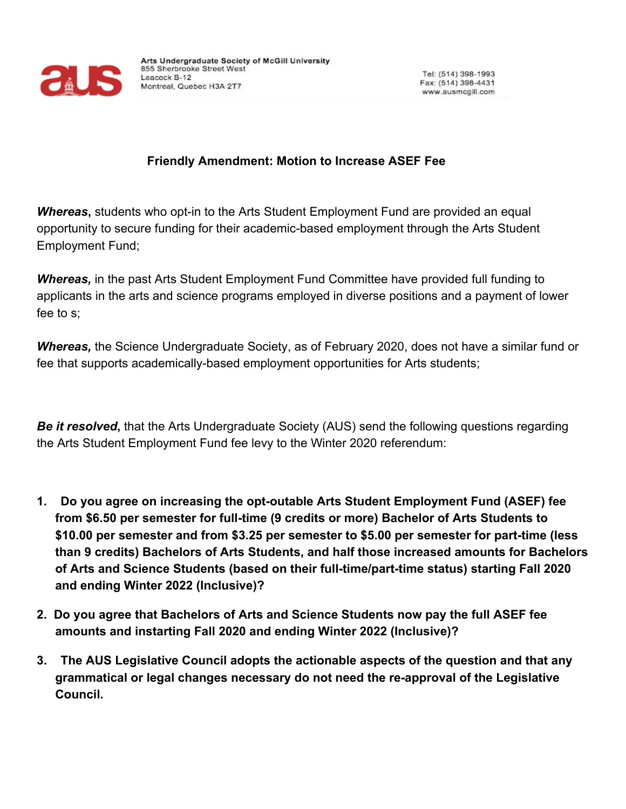

## **Friendly Amendment: Motion to Increase ASEF Fee**

**Whereas**, students who opt-in to the Arts Student Employment Fund are provided an equal opportunity to secure funding for their academic-based employment through the Arts Student Employment Fund;

**Whereas,** in the past Arts Student Employment Fund Committee have provided full funding to applicants in the arts and science programs employed in diverse positions and a payment of lower fee to s;

*Whereas,* the Science Undergraduate Society, as of February 2020, does not have a similar fund or fee that supports academically-based employment opportunities for Arts students;

*Be it resolved***,** that the Arts Undergraduate Society (AUS) send the following questions regarding the Arts Student Employment Fund fee levy to the Winter 2020 referendum:

- **1. Do you agree on increasing the opt-outable Arts Student Employment Fund (ASEF) fee from \$6.50 per semester for full-time (9 credits or more) Bachelor of Arts Students to \$10.00 per semester and from \$3.25 per semester to \$5.00 per semester for part-time (less than 9 credits) Bachelors of Arts Students, and half those increased amounts for Bachelors of Arts and Science Students (based on their full-time/part-time status) starting Fall 2020 and ending Winter 2022 (Inclusive)?**
- **2. Do you agree that Bachelors of Arts and Science Students now pay the full ASEF fee amounts and instarting Fall 2020 and ending Winter 2022 (Inclusive)?**
- **3. The AUS Legislative Council adopts the actionable aspects of the question and that any grammatical or legal changes necessary do not need the re-approval of the Legislative Council.**